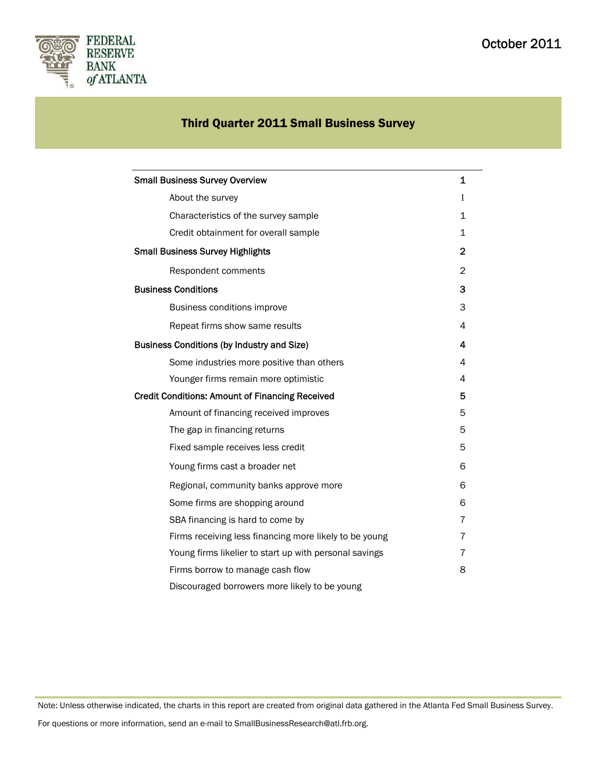

# Third Quarter 2011 Small Business Survey

| <b>Small Business Survey Overview</b>                  | 1            |
|--------------------------------------------------------|--------------|
| About the survey                                       | 1            |
| Characteristics of the survey sample                   | $\mathbf 1$  |
| Credit obtainment for overall sample                   | 1            |
| <b>Small Business Survey Highlights</b>                | $\mathbf{2}$ |
| Respondent comments                                    | 2            |
| <b>Business Conditions</b>                             | 3            |
| Business conditions improve                            | 3            |
| Repeat firms show same results                         | 4            |
| <b>Business Conditions (by Industry and Size)</b>      | 4            |
| Some industries more positive than others              | 4            |
| Younger firms remain more optimistic                   | 4            |
| <b>Credit Conditions: Amount of Financing Received</b> |              |
| Amount of financing received improves                  | 5            |
| The gap in financing returns                           | 5            |
| Fixed sample receives less credit                      | 5            |
| Young firms cast a broader net                         | 6            |
| Regional, community banks approve more                 | 6            |
| Some firms are shopping around                         | 6            |
| SBA financing is hard to come by                       | 7            |
| Firms receiving less financing more likely to be young | 7            |
| Young firms likelier to start up with personal savings | 7            |
| Firms borrow to manage cash flow                       | 8            |
| Discouraged borrowers more likely to be young          |              |

Note: Unless otherwise indicated, the charts in this report are created from original data gathered in the Atlanta Fed Small Business Survey.

For questions or more information, send an e-mail to SmallBusinessResearch@atl.frb.org.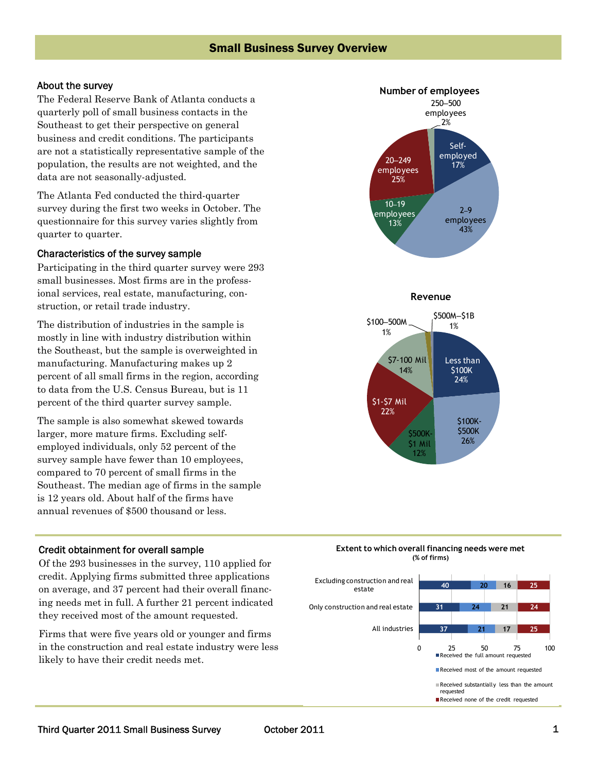### Small Business Survey Overview

### About the survey

The Federal Reserve Bank of Atlanta conducts a quarterly poll of small business contacts in the Southeast to get their perspective on general business and credit conditions. The participants are not a statistically representative sample of the population, the results are not weighted, and the data are not seasonally-adjusted.

The Atlanta Fed conducted the third-quarter survey during the first two weeks in October. The questionnaire for this survey varies slightly from quarter to quarter.

### Characteristics of the survey sample

Participating in the third quarter survey were 293 small businesses. Most firms are in the professional services, real estate, manufacturing, construction, or retail trade industry.

The distribution of industries in the sample is mostly in line with industry distribution within the Southeast, but the sample is overweighted in manufacturing. Manufacturing makes up 2 percent of all small firms in the region, according to data from the U.S. Census Bureau, but is 11 percent of the third quarter survey sample.

The sample is also somewhat skewed towards larger, more mature firms. Excluding selfemployed individuals, only 52 percent of the survey sample have fewer than 10 employees, compared to 70 percent of small firms in the Southeast. The median age of firms in the sample is 12 years old. About half of the firms have annual revenues of \$500 thousand or less.

### Credit obtainment for overall sample

Of the 293 businesses in the survey, 110 applied for credit. Applying firms submitted three applications on average, and 37 percent had their overall financing needs met in full. A further 21 percent indicated they received most of the amount requested.

Firms that were five years old or younger and firms in the construction and real estate industry were less likely to have their credit needs met.



#### **Extent to which overall financing needs were met (% of firms)**

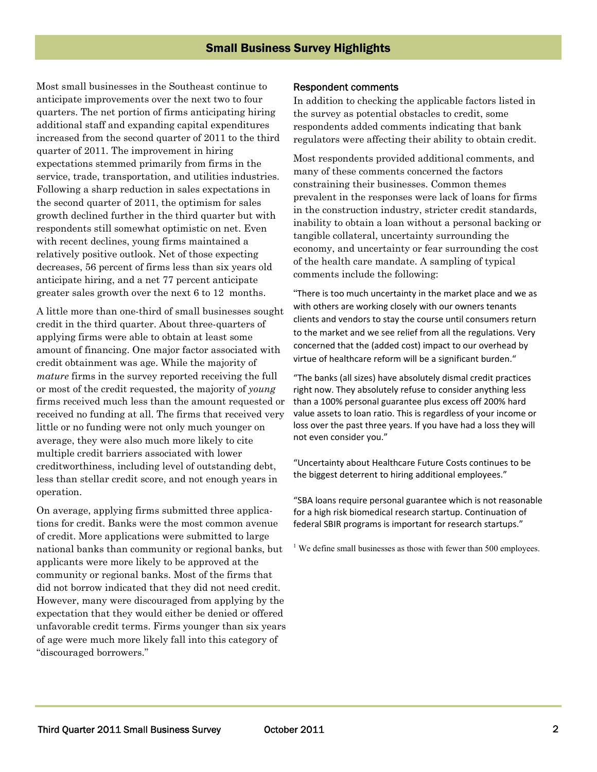Most small businesses in the Southeast continue to anticipate improvements over the next two to four quarters. The net portion of firms anticipating hiring additional staff and expanding capital expenditures increased from the second quarter of 2011 to the third quarter of 2011. The improvement in hiring expectations stemmed primarily from firms in the service, trade, transportation, and utilities industries. Following a sharp reduction in sales expectations in the second quarter of 2011, the optimism for sales growth declined further in the third quarter but with respondents still somewhat optimistic on net. Even with recent declines, young firms maintained a relatively positive outlook. Net of those expecting decreases, 56 percent of firms less than six years old anticipate hiring, and a net 77 percent anticipate greater sales growth over the next 6 to 12 months.

A little more than one-third of small businesses sought credit in the third quarter. About three-quarters of applying firms were able to obtain at least some amount of financing. One major factor associated with credit obtainment was age. While the majority of *mature* firms in the survey reported receiving the full or most of the credit requested, the majority of *young* firms received much less than the amount requested or received no funding at all. The firms that received very little or no funding were not only much younger on average, they were also much more likely to cite multiple credit barriers associated with lower creditworthiness, including level of outstanding debt, less than stellar credit score, and not enough years in operation.

On average, applying firms submitted three applications for credit. Banks were the most common avenue of credit. More applications were submitted to large national banks than community or regional banks, but applicants were more likely to be approved at the community or regional banks. Most of the firms that did not borrow indicated that they did not need credit. However, many were discouraged from applying by the expectation that they would either be denied or offered unfavorable credit terms. Firms younger than six years of age were much more likely fall into this category of "discouraged borrowers."

### Respondent comments

In addition to checking the applicable factors listed in the survey as potential obstacles to credit, some respondents added comments indicating that bank regulators were affecting their ability to obtain credit.

Most respondents provided additional comments, and many of these comments concerned the factors constraining their businesses. Common themes prevalent in the responses were lack of loans for firms in the construction industry, stricter credit standards, inability to obtain a loan without a personal backing or tangible collateral, uncertainty surrounding the economy, and uncertainty or fear surrounding the cost of the health care mandate. A sampling of typical comments include the following:

"There is too much uncertainty in the market place and we as with others are working closely with our owners tenants clients and vendors to stay the course until consumers return to the market and we see relief from all the regulations. Very concerned that the (added cost) impact to our overhead by virtue of healthcare reform will be a significant burden."

"The banks (all sizes) have absolutely dismal credit practices right now. They absolutely refuse to consider anything less than a 100% personal guarantee plus excess off 200% hard value assets to loan ratio. This is regardless of your income or loss over the past three years. If you have had a loss they will not even consider you."

"Uncertainty about Healthcare Future Costs continues to be the biggest deterrent to hiring additional employees."

"SBA loans require personal guarantee which is not reasonable for a high risk biomedical research startup. Continuation of federal SBIR programs is important for research startups."

 $1$  We define small businesses as those with fewer than 500 employees.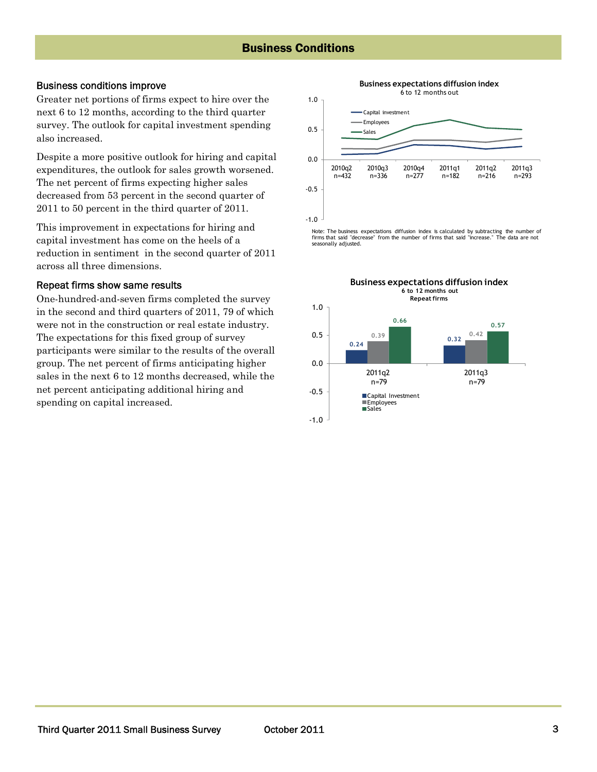### Business conditions improve

Greater net portions of firms expect to hire over the next 6 to 12 months, according to the third quarter survey. The outlook for capital investment spending also increased.

Despite a more positive outlook for hiring and capital expenditures, the outlook for sales growth worsened. The net percent of firms expecting higher sales decreased from 53 percent in the second quarter of 2011 to 50 percent in the third quarter of 2011.

This improvement in expectations for hiring and capital investment has come on the heels of a reduction in sentiment in the second quarter of 2011 across all three dimensions.

### Repeat firms show same results

One-hundred-and-seven firms completed the survey in the second and third quarters of 2011, 79 of which were not in the construction or real estate industry. The expectations for this fixed group of survey participants were similar to the results of the overall group. The net percent of firms anticipating higher sales in the next 6 to 12 months decreased, while the net percent anticipating additional hiring and spending on capital increased.



Note: The business expectations diffusion index is calculated by subtracting the number of firms that said "decrease" from the number of firms that said "increase." The data are not seasonally adjusted.

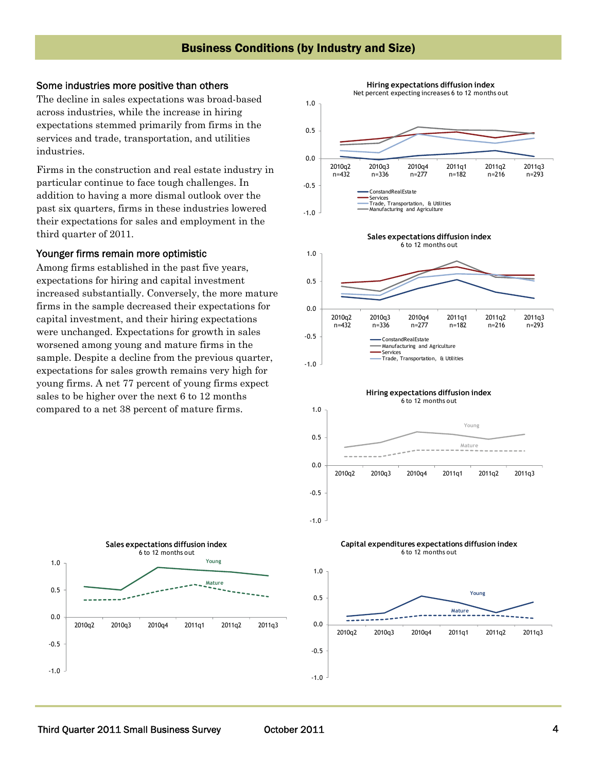### Some industries more positive than others

The decline in sales expectations was broad-based across industries, while the increase in hiring expectations stemmed primarily from firms in the services and trade, transportation, and utilities industries.

Firms in the construction and real estate industry in particular continue to face tough challenges. In addition to having a more dismal outlook over the past six quarters, firms in these industries lowered their expectations for sales and employment in the third quarter of 2011.

### Younger firms remain more optimistic

Among firms established in the past five years, expectations for hiring and capital investment increased substantially. Conversely, the more mature firms in the sample decreased their expectations for capital investment, and their hiring expectations were unchanged. Expectations for growth in sales worsened among young and mature firms in the sample. Despite a decline from the previous quarter, expectations for sales growth remains very high for young firms. A net 77 percent of young firms expect sales to be higher over the next 6 to 12 months compared to a net 38 percent of mature firms.



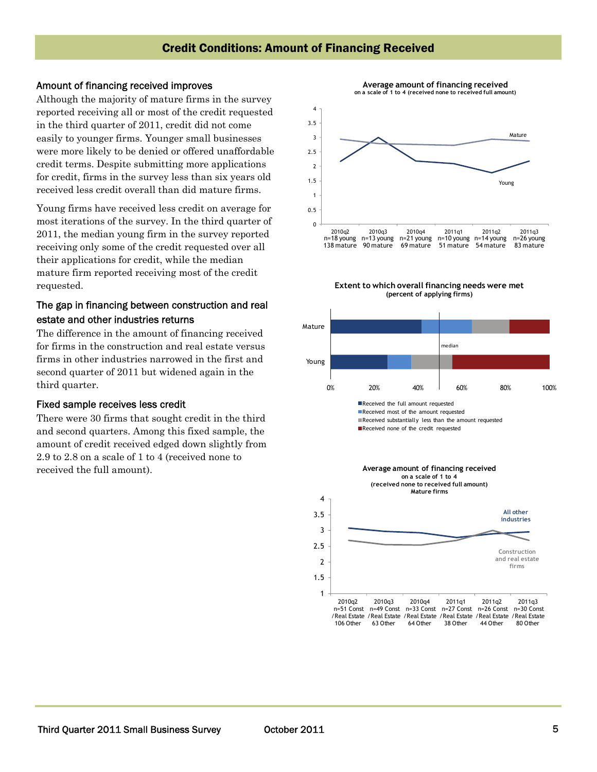### Amount of financing received improves

Although the majority of mature firms in the survey reported receiving all or most of the credit requested in the third quarter of 2011, credit did not come easily to younger firms. Younger small businesses were more likely to be denied or offered unaffordable credit terms. Despite submitting more applications for credit, firms in the survey less than six years old received less credit overall than did mature firms.

Young firms have received less credit on average for most iterations of the survey. In the third quarter of 2011, the median young firm in the survey reported receiving only some of the credit requested over all their applications for credit, while the median mature firm reported receiving most of the credit requested.

### The gap in financing between construction and real estate and other industries returns

The difference in the amount of financing received for firms in the construction and real estate versus firms in other industries narrowed in the first and second quarter of 2011 but widened again in the third quarter.

### Fixed sample receives less credit

There were 30 firms that sought credit in the third and second quarters. Among this fixed sample, the amount of credit received edged down slightly from 2.9 to 2.8 on a scale of 1 to 4 (received none to received the full amount).





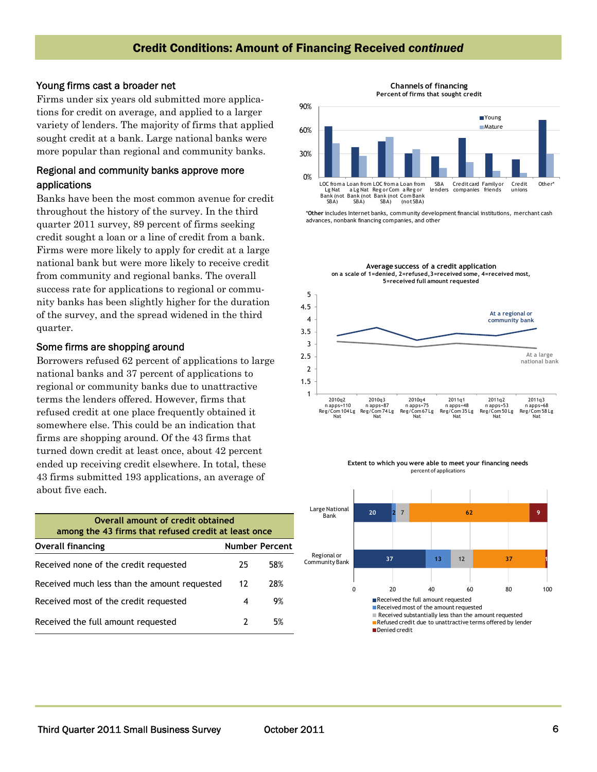### Credit Conditions: Amount of Financing Received *continued*

### Young firms cast a broader net

Firms under six years old submitted more applications for credit on average, and applied to a larger variety of lenders. The majority of firms that applied sought credit at a bank. Large national banks were more popular than regional and community banks.

### Regional and community banks approve more applications

Banks have been the most common avenue for credit throughout the history of the survey. In the third quarter 2011 survey, 89 percent of firms seeking credit sought a loan or a line of credit from a bank. Firms were more likely to apply for credit at a large national bank but were more likely to receive credit from community and regional banks. The overall success rate for applications to regional or community banks has been slightly higher for the duration of the survey, and the spread widened in the third quarter.

#### Some firms are shopping around

Borrowers refused 62 percent of applications to large national banks and 37 percent of applications to regional or community banks due to unattractive terms the lenders offered. However, firms that refused credit at one place frequently obtained it somewhere else. This could be an indication that firms are shopping around. Of the 43 firms that turned down credit at least once, about 42 percent ended up receiving credit elsewhere. In total, these 43 firms submitted 193 applications, an average of about five each.

| Overall amount of credit obtained<br>among the 43 firms that refused credit at least once |    |                       |  |
|-------------------------------------------------------------------------------------------|----|-----------------------|--|
| <b>Overall financing</b>                                                                  |    | <b>Number Percent</b> |  |
| Received none of the credit requested                                                     | 25 | 58%                   |  |
| Received much less than the amount requested                                              | 12 | 28%                   |  |
| Received most of the credit requested                                                     | 4  | 9%                    |  |
| Received the full amount requested                                                        |    | 5%                    |  |

**Channels of financing Percent of firms that sought credit**



\***Other** includes Internet banks, community development financial institutions, merchant cash advances, nonbank financing companies, and other







 $\blacksquare$  Received substantially less than the amount requested

Refused credit due to unattractive terms offered by lender

Denied credit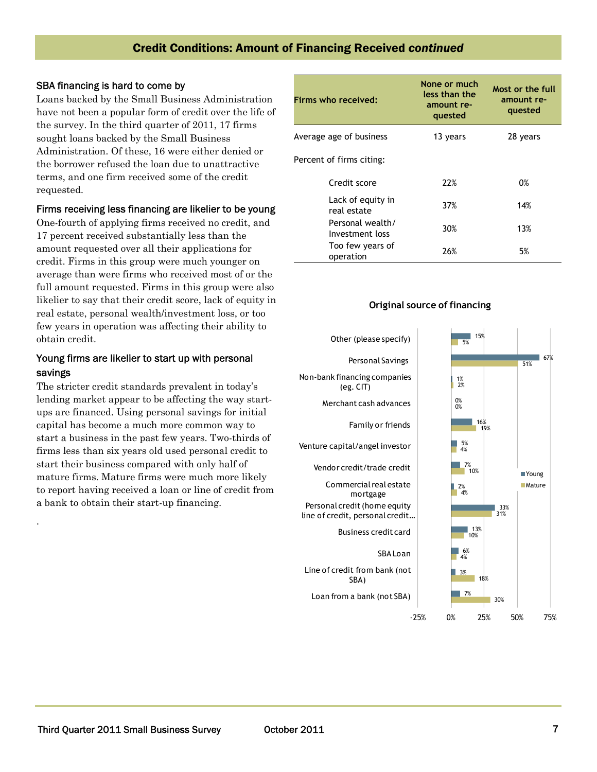## Credit Conditions: Amount of Financing Received *continued*

### SBA financing is hard to come by

Loans backed by the Small Business Administration have not been a popular form of credit over the life of the survey. In the third quarter of 2011, 17 firms sought loans backed by the Small Business Administration. Of these, 16 were either denied or the borrower refused the loan due to unattractive terms, and one firm received some of the credit requested.

### Firms receiving less financing are likelier to be young

One-fourth of applying firms received no credit, and 17 percent received substantially less than the amount requested over all their applications for credit. Firms in this group were much younger on average than were firms who received most of or the full amount requested. Firms in this group were also likelier to say that their credit score, lack of equity in real estate, personal wealth/investment loss, or too few years in operation was affecting their ability to obtain credit.

### Young firms are likelier to start up with personal savings

The stricter credit standards prevalent in today's lending market appear to be affecting the way startups are financed. Using personal savings for initial capital has become a much more common way to start a business in the past few years. Two-thirds of firms less than six years old used personal credit to start their business compared with only half of mature firms. Mature firms were much more likely to report having received a loan or line of credit from a bank to obtain their start-up financing.

.

| Firms who received:                 | None or much<br>less than the<br>amount re-<br>quested | Most or the full<br>amount re-<br>quested |
|-------------------------------------|--------------------------------------------------------|-------------------------------------------|
| Average age of business             | 13 years                                               | 28 years                                  |
| Percent of firms citing:            |                                                        |                                           |
| Credit score                        | 22%                                                    | 0%                                        |
| Lack of equity in<br>real estate    | 37%                                                    | 14%                                       |
| Personal wealth/<br>Investment loss | 30%                                                    | 13%                                       |
| Too few years of<br>operation       | 26%                                                    | 5%                                        |



### **Original source of financing**